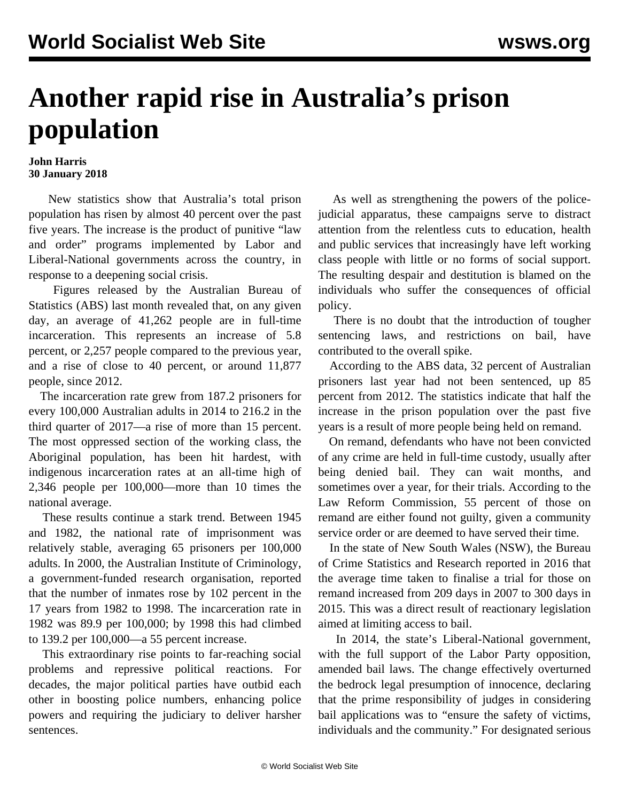## **Another rapid rise in Australia's prison population**

## **John Harris 30 January 2018**

 New statistics show that Australia's total prison population has risen by almost 40 percent over the past five years. The increase is the product of punitive "law and order" programs implemented by Labor and Liberal-National governments across the country, in response to a deepening social crisis.

 Figures released by the Australian Bureau of Statistics (ABS) last month revealed that, on any given day, an average of 41,262 people are in full-time incarceration. This represents an increase of 5.8 percent, or 2,257 people compared to the previous year, and a rise of close to 40 percent, or around 11,877 people, since 2012.

 The incarceration rate grew from 187.2 prisoners for every 100,000 Australian adults in 2014 to 216.2 in the third quarter of 2017—a rise of more than 15 percent. The most oppressed section of the working class, the Aboriginal population, has been hit hardest, with indigenous incarceration rates at an all-time high of 2,346 people per 100,000—more than 10 times the national average.

 These results continue a stark trend. Between 1945 and 1982, the national rate of imprisonment was relatively stable, averaging 65 prisoners per 100,000 adults. In 2000, the Australian Institute of Criminology, a government-funded research organisation, [reported](/en/articles/2000/11/pris-n01.html) that the number of inmates rose by 102 percent in the 17 years from 1982 to 1998. The incarceration rate in 1982 was 89.9 per 100,000; by 1998 this had climbed to 139.2 per 100,000—a 55 percent increase.

 This extraordinary rise points to far-reaching social problems and repressive political reactions. For decades, the major political parties have outbid each other in boosting police numbers, enhancing police powers and requiring the judiciary to deliver harsher sentences.

 As well as strengthening the powers of the policejudicial apparatus, these campaigns serve to distract attention from the relentless cuts to education, health and public services that increasingly have left working class people with little or no forms of social support. The resulting despair and destitution is blamed on the individuals who suffer the consequences of official policy.

 There is no doubt that the introduction of tougher sentencing laws, and restrictions on bail, have contributed to the overall spike.

 According to the ABS data, 32 percent of Australian prisoners last year had not been sentenced, up 85 percent from 2012. The statistics indicate that half the increase in the prison population over the past five years is a result of more people being held on remand.

 On remand, defendants who have not been convicted of any crime are held in full-time custody, usually after being denied bail. They can wait months, and sometimes over a year, for their trials. According to the Law Reform Commission, 55 percent of those on remand are either found not guilty, given a community service order or are deemed to have served their time.

 In the state of New South Wales (NSW), the Bureau of Crime Statistics and Research reported in 2016 that the average time taken to finalise a trial for those on remand increased from 209 days in 2007 to 300 days in 2015. This was a direct result of reactionary legislation aimed at limiting access to bail.

 In 2014, the state's Liberal-National government, with the full support of the Labor Party opposition, amended bail laws. The change effectively overturned the bedrock legal presumption of innocence, declaring that the prime responsibility of judges in considering bail applications was to "ensure the safety of victims, individuals and the community." For designated serious